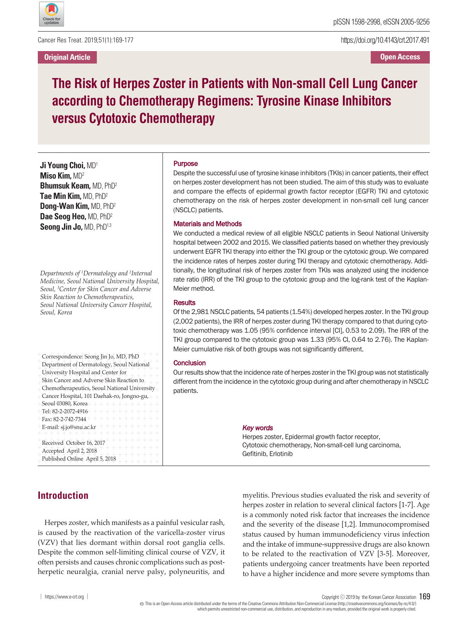

Cancer Res Treat. 2019;51(1):169-177

**Original Article**

https://doi.org/10.4143/crt.2017.491

**Open Access**

# **The Risk of Herpes Zoster in Patients with Non-small Cell Lung Cancer according to Chemotherapy Regimens: Tyrosine Kinase Inhibitors versus Cytotoxic Chemotherapy**

**Ji Young Choi,** MD1 **Miso Kim,** MD2 **Bhumsuk Keam,** MD, PhD2 **Tae Min Kim,** MD, PhD2 **Dong-Wan Kim,** MD, PhD2 **Dae Seog Heo,** MD, PhD2 **Seong Jin Jo,** MD, PhD1,3

*Departments of <sup>1</sup> Dermatology and <sup>2</sup> Internal Medicine, Seoul National University Hospital, Seoul, <sup>3</sup> Center for Skin Cancer and Adverse Skin Reaction to Chemotherapeutics, Seoul National University Cancer Hospital, Seoul, Korea*

 $+$  Correspondence: Seong Jin Jo, MD, PhD  $+$  +  $+$ Department of Dermatology, Seoul National + + + + + + + + + + + + + + + + + + + + University Hospital and Center for  $-\frac{1}{2}$  Skin Cancer and Adverse Skin Reaction to  $+$   $\frac{1}{2}$   $\frac{1}{2}$  +  $\frac{1}{2}$  +  $\frac{1}{2}$  +  $\frac{1}{2}$  +  $\frac{1}{2}$  +  $\frac{1}{2}$  +  $\frac{1}{2}$  +  $\frac{1}{2}$  +  $\frac{1}{2}$  +  $\frac{1}{2}$  +  $\frac{1}{2}$  +  $\frac{1}{2}$  +  $\frac{1}{2}$  +  $\frac{1}{2}$  +  $\frac{1}{2}$  +  $\frac{1}{2}$  +  $\frac{1}{2}$  +  $\frac$  $+$  Chemotherapeutics, Seoul National University  $+$  $+$  Cancer Hospital, 101 Daehak-ro, Jongno-gu, $+$  $+$  Seoul 03080, Korea + + + + + + + + + + + +  $+$  Tel: 82-2-2072-4916 + + + + + + + + + + + +  $+$  Fax: 82-2-742-7344  $+$  + + + + + + + + + + +  $+$  E-mail: sj.jo@snu.ac.kr  $+$  + + + + + + + + +  $+$  Received October 16, 2017  $+$  + + + + + + +  $+$  Accepted April 2, 2018  $+$  + + + + + + + + + + + + + + + + + + + + + + + + + + + + +  $+$  Published Online April 5, 2018  $+$  + + + + + +

### Purpose

Despite the successful use of tyrosine kinase inhibitors (TKIs) in cancer patients, their effect on herpes zoster development has not been studied. The aim of this study was to evaluate and compare the effects of epidermal growth factor receptor (EGFR) TKI and cytotoxic chemotherapy on the risk of herpes zoster development in non-small cell lung cancer (NSCLC) patients.

#### Materials and Methods

We conducted a medical review of all eligible NSCLC patients in Seoul National University hospital between 2002 and 2015. We classified patients based on whether they previously underwent EGFR TKI therapy into either the TKI group or the cytotoxic group. We compared the incidence rates of herpes zoster during TKI therapy and cytotoxic chemotherapy. Additionally, the longitudinal risk of herpes zoster from TKIs was analyzed using the incidence rate ratio (IRR) of the TKI group to the cytotoxic group and the log-rank test of the Kaplan-Meier method.

#### **Results**

Of the 2,981 NSCLC patients, 54 patients (1.54%) developed herpes zoster. In the TKI group (2,002 patients), the IRR of herpes zoster during TKI therapy compared to that during cytotoxic chemotherapy was 1.05 (95% confidence interval [CI], 0.53 to 2.09). The IRR of the TKI group compared to the cytotoxic group was 1.33 (95% CI, 0.64 to 2.76). The Kaplan-Meier cumulative risk of both groups was not significantly different.

#### **Conclusion**

Our results show that the incidence rate of herpes zoster in the TKI group was not statistically different from the incidence in the cytotoxic group during and after chemotherapy in NSCLC patients.

#### *Key words*

Herpes zoster, Epidermal growth factor receptor, Cytotoxic chemotherapy, Non-small-cell lung carcinoma, Gefitinib, Erlotinib

# **Introduction**

Herpes zoster, which manifests as a painful vesicular rash, is caused by the reactivation of the varicella-zoster virus (VZV) that lies dormant within dorsal root ganglia cells. Despite the common self-limiting clinical course of VZV, it often persists and causes chronic complications such as postherpetic neuralgia, cranial nerve palsy, polyneuritis, and

myelitis. Previous studies evaluated the risk and severity of herpes zoster in relation to several clinical factors [1-7]. Age is a commonly noted risk factor that increases the incidence and the severity of the disease [1,2]. Immunocompromised status caused by human immunodeficiency virus infection and the intake of immune-suppressive drugs are also known to be related to the reactivation of VZV [3-5]. Moreover, patients undergoing cancer treatments have been reported to have a higher incidence and more severe symptoms than

│ https://www.e-crt.org │ Copyright ⓒ <sup>2019</sup> by the Korean Cancer Association 169

Thisis an Open-Access article distributed under the terms of the Creative Commons Attribution Non-CommercialLicense (http://creativecommons.org/licenses/by-nc/4.0/) which permits unrestricted non-commercial use, distribution, and reproduction in any medium, provided the original workis properlycited.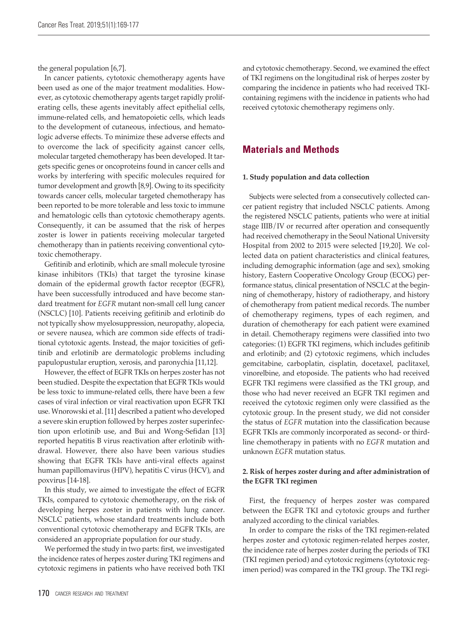the general population [6,7].

In cancer patients, cytotoxic chemotherapy agents have been used as one of the major treatment modalities. However, as cytotoxic chemotherapy agents target rapidly proliferating cells, these agents inevitably affect epithelial cells, immune-related cells, and hematopoietic cells, which leads to the development of cutaneous, infectious, and hematologic adverse effects. To minimize these adverse effects and to overcome the lack of specificity against cancer cells, molecular targeted chemotherapy has been developed. It targets specific genes or oncoproteins found in cancer cells and works by interfering with specific molecules required for tumor development and growth [8,9]. Owing to its specificity towards cancer cells, molecular targeted chemotherapy has been reported to be more tolerable and less toxic to immune and hematologic cells than cytotoxic chemotherapy agents. Consequently, it can be assumed that the risk of herpes zoster is lower in patients receiving molecular targeted chemotherapy than in patients receiving conventional cytotoxic chemotherapy.

Gefitinib and erlotinib, which are small molecule tyrosine kinase inhibitors (TKIs) that target the tyrosine kinase domain of the epidermal growth factor receptor (EGFR), have been successfully introduced and have become standard treatment for *EGFR* mutant non-small cell lung cancer (NSCLC) [10]. Patients receiving gefitinib and erlotinib do not typically show myelosuppression, neuropathy, alopecia, or severe nausea, which are common side effects of traditional cytotoxic agents. Instead, the major toxicities of gefitinib and erlotinib are dermatologic problems including papulopustular eruption, xerosis, and paronychia [11,12].

However, the effect of EGFR TKIs on herpes zoster has not been studied. Despite the expectation that EGFR TKIs would be less toxic to immune-related cells, there have been a few cases of viral infection or viral reactivation upon EGFR TKI use. Wnorowski et al. [11] described a patient who developed a severe skin eruption followed by herpes zoster superinfection upon erlotinib use, and Bui and Wong-Sefidan [13] reported hepatitis B virus reactivation after erlotinib withdrawal. However, there also have been various studies showing that EGFR TKIs have anti-viral effects against human papillomavirus (HPV), hepatitis C virus (HCV), and poxvirus [14-18].

In this study, we aimed to investigate the effect of EGFR TKIs, compared to cytotoxic chemotherapy, on the risk of developing herpes zoster in patients with lung cancer. NSCLC patients, whose standard treatments include both conventional cytotoxic chemotherapy and EGFR TKIs, are considered an appropriate population for our study.

We performed the study in two parts: first, we investigated the incidence rates of herpes zoster during TKI regimens and cytotoxic regimens in patients who have received both TKI

and cytotoxic chemotherapy. Second, we examined the effect of TKI regimens on the longitudinal risk of herpes zoster by comparing the incidence in patients who had received TKIcontaining regimens with the incidence in patients who had received cytotoxic chemotherapy regimens only.

# **Materials and Methods**

### **1. Study population and data collection**

Subjects were selected from a consecutively collected cancer patient registry that included NSCLC patients. Among the registered NSCLC patients, patients who were at initial stage IIIB/IV or recurred after operation and consequently had received chemotherapy in the Seoul National University Hospital from 2002 to 2015 were selected [19,20]. We collected data on patient characteristics and clinical features, including demographic information (age and sex), smoking history, Eastern Cooperative Oncology Group (ECOG) performance status, clinical presentation of NSCLC at the beginning of chemotherapy, history of radiotherapy, and history of chemotherapy from patient medical records. The number of chemotherapy regimens, types of each regimen, and duration of chemotherapy for each patient were examined in detail. Chemotherapy regimens were classified into two categories: (1) EGFR TKI regimens, which includes gefitinib and erlotinib; and (2) cytotoxic regimens, which includes gemcitabine, carboplatin, cisplatin, docetaxel, paclitaxel, vinorelbine, and etoposide. The patients who had received EGFR TKI regimens were classified as the TKI group, and those who had never received an EGFR TKI regimen and received the cytotoxic regimen only were classified as the cytotoxic group. In the present study, we did not consider the status of *EGFR* mutation into the classification because EGFR TKIs are commonly incorporated as second- or thirdline chemotherapy in patients with no *EGFR* mutation and unknown *EGFR* mutation status.

### **2. Risk of herpes zoster during and after administration of the EGFR TKI regimen**

First, the frequency of herpes zoster was compared between the EGFR TKI and cytotoxic groups and further analyzed according to the clinical variables.

In order to compare the risks of the TKI regimen-related herpes zoster and cytotoxic regimen-related herpes zoster, the incidence rate of herpes zoster during the periods of TKI (TKI regimen period) and cytotoxic regimens (cytotoxic regimen period) was compared in the TKI group. The TKI regi-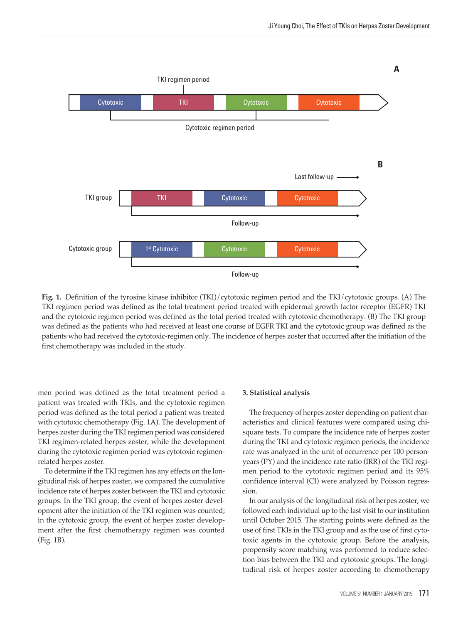

**Fig. 1.** Definition of the tyrosine kinase inhibitor (TKI)/cytotoxic regimen period and the TKI/cytotoxic groups. (A) The TKI regimen period was defined as the total treatment period treated with epidermal growth factor receptor (EGFR) TKI and the cytotoxic regimen period was defined as the total period treated with cytotoxic chemotherapy. (B) The TKI group was defined as the patients who had received at least one course of EGFR TKI and the cytotoxic group was defined as the patients who had received the cytotoxic-regimen only. The incidence of herpes zoster that occurred after the initiation of the first chemotherapy was included in the study.

men period was defined as the total treatment period a patient was treated with TKIs, and the cytotoxic regimen period was defined as the total period a patient was treated with cytotoxic chemotherapy (Fig. 1A). The development of herpes zoster during the TKI regimen period was considered TKI regimen-related herpes zoster, while the development during the cytotoxic regimen period was cytotoxic regimenrelated herpes zoster.

To determine if the TKI regimen has any effects on the longitudinal risk of herpes zoster, we compared the cumulative incidence rate of herpes zoster between the TKI and cytotoxic groups. In the TKI group, the event of herpes zoster development after the initiation of the TKI regimen was counted; in the cytotoxic group, the event of herpes zoster development after the first chemotherapy regimen was counted (Fig. 1B).

#### **3. Statistical analysis**

The frequency of herpes zoster depending on patient characteristics and clinical features were compared using chisquare tests. To compare the incidence rate of herpes zoster during the TKI and cytotoxic regimen periods, the incidence rate was analyzed in the unit of occurrence per 100 personyears (PY) and the incidence rate ratio (IRR) of the TKI regimen period to the cytotoxic regimen period and its 95% confidence interval (CI) were analyzed by Poisson regression.

In our analysis of the longitudinal risk of herpes zoster, we followed each individual up to the last visit to our institution until October 2015. The starting points were defined as the use of first TKIs in the TKI group and as the use of first cytotoxic agents in the cytotoxic group. Before the analysis, propensity score matching was performed to reduce selection bias between the TKI and cytotoxic groups. The longitudinal risk of herpes zoster according to chemotherapy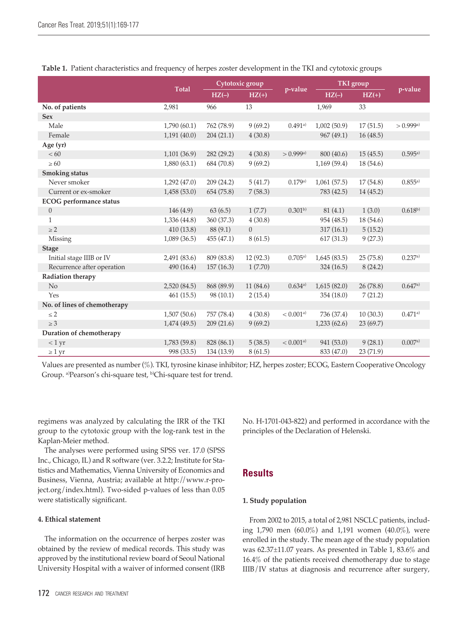|                                |              | Cytotoxic group |                |             | <b>TKI</b> group |           |             |
|--------------------------------|--------------|-----------------|----------------|-------------|------------------|-----------|-------------|
|                                | <b>Total</b> | $HZ(-)$         | $HZ(+)$        | p-value     | $HZ(-)$          | $HZ(+)$   | p-value     |
| No. of patients                | 2,981        | 966             | 13             |             | 1,969            | 33        |             |
| <b>Sex</b>                     |              |                 |                |             |                  |           |             |
| Male                           | 1,790(60.1)  | 762 (78.9)      | 9(69.2)        | 0.491a)     | 1,002(50.9)      | 17(51.5)  | > 0.999a    |
| Female                         | 1,191(40.0)  | 204(21.1)       | 4(30.8)        |             | 967 (49.1)       | 16(48.5)  |             |
| Age (yr)                       |              |                 |                |             |                  |           |             |
| < 60                           | 1,101(36.9)  | 282 (29.2)      | 4(30.8)        | > 0.999a    | 800 (40.6)       | 15(45.5)  | 0.595a)     |
| $\geq 60$                      | 1,880(63.1)  | 684 (70.8)      | 9(69.2)        |             | 1,169(59.4)      | 18 (54.6) |             |
| <b>Smoking status</b>          |              |                 |                |             |                  |           |             |
| Never smoker                   | 1,292(47.0)  | 209 (24.2)      | 5(41.7)        | 0.179a)     | 1,061(57.5)      | 17(54.8)  | 0.855a)     |
| Current or ex-smoker           | 1,458(53.0)  | 654 (75.8)      | 7(58.3)        |             | 783 (42.5)       | 14(45.2)  |             |
| <b>ECOG</b> performance status |              |                 |                |             |                  |           |             |
| $\boldsymbol{0}$               | 146(4.9)     | 63(6.5)         | 1(7.7)         | $0.301^{b}$ | 81(4.1)          | 1(3.0)    | $0.618^{b}$ |
| $\mathbf{1}$                   | 1,336(44.8)  | 360 (37.3)      | 4(30.8)        |             | 954 (48.5)       | 18(54.6)  |             |
| $\geq$ 2                       | 410 (13.8)   | 88 (9.1)        | $\overline{0}$ |             | 317(16.1)        | 5(15.2)   |             |
| Missing                        | 1,089(36.5)  | 455(47.1)       | 8(61.5)        |             | 617(31.3)        | 9(27.3)   |             |
| <b>Stage</b>                   |              |                 |                |             |                  |           |             |
| Initial stage IIIB or IV       | 2,491 (83.6) | 809 (83.8)      | 12 (92.3)      | 0.705a)     | 1,645(83.5)      | 25(75.8)  | 0.237a)     |
| Recurrence after operation     | 490 (16.4)   | 157(16.3)       | 1(7.70)        |             | 324 (16.5)       | 8(24.2)   |             |
| Radiation therapy              |              |                 |                |             |                  |           |             |
| No                             | 2,520(84.5)  | 868 (89.9)      | 11(84.6)       | 0.634a)     | 1,615(82.0)      | 26 (78.8) | 0.647a)     |
| Yes                            | 461(15.5)    | 98(10.1)        | 2(15.4)        |             | 354 (18.0)       | 7(21.2)   |             |
| No. of lines of chemotherapy   |              |                 |                |             |                  |           |             |
| $\leq$ 2                       | 1,507(50.6)  | 757 (78.4)      | 4(30.8)        | < 0.001a    | 736 (37.4)       | 10(30.3)  | 0.471a)     |
| $\geq 3$                       | 1,474(49.5)  | 209(21.6)       | 9(69.2)        |             | 1,233(62.6)      | 23(69.7)  |             |
| Duration of chemotherapy       |              |                 |                |             |                  |           |             |
| < 1 yr                         | 1,783 (59.8) | 828 (86.1)      | 5(38.5)        | < 0.001a    | 941 (53.0)       | 9(28.1)   | 0.007a)     |
| $\geq 1$ yr                    | 998 (33.5)   | 134 (13.9)      | 8(61.5)        |             | 833 (47.0)       | 23 (71.9) |             |

| Table 1. Patient characteristics and frequency of herpes zoster development in the TKI and cytotoxic groups |  |  |  |  |  |
|-------------------------------------------------------------------------------------------------------------|--|--|--|--|--|
|-------------------------------------------------------------------------------------------------------------|--|--|--|--|--|

Values are presented as number (%). TKI, tyrosine kinase inhibitor; HZ, herpes zoster; ECOG, Eastern Cooperative Oncology Group. a) Pearson's chi-square test, b) Chi-square test for trend.

regimens was analyzed by calculating the IRR of the TKI group to the cytotoxic group with the log-rank test in the Kaplan-Meier method.

The analyses were performed using SPSS ver. 17.0 (SPSS Inc., Chicago, IL) and R software (ver. 3.2.2; Institute for Statistics and Mathematics, Vienna University of Economics and Business, Vienna, Austria; available at http://www.r-project.org/index.html). Two-sided p-values of less than 0.05 were statistically significant.

# **4. Ethical statement**

The information on the occurrence of herpes zoster was obtained by the review of medical records. This study was approved by the institutional review board of Seoul National University Hospital with a waiver of informed consent (IRB No. H-1701-043-822) and performed in accordance with the principles of the Declaration of Helenski.

# **Results**

# **1. Study population**

From 2002 to 2015, a total of 2,981 NSCLC patients, including 1,790 men (60.0%) and 1,191 women (40.0%), were enrolled in the study. The mean age of the study population was 62.37±11.07 years. As presented in Table 1, 83.6% and 16.4% of the patients received chemotherapy due to stage IIIB/IV status at diagnosis and recurrence after surgery,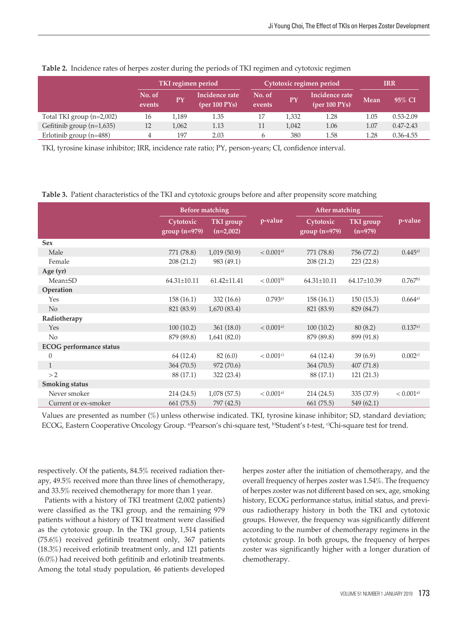|                             | TKI regimen period |       |                                                  |                  | Cytotoxic regimen period | IRR                             |      |               |
|-----------------------------|--------------------|-------|--------------------------------------------------|------------------|--------------------------|---------------------------------|------|---------------|
|                             | No. of<br>events   | PY    | Incidence rate<br>$(\text{per }100 \text{ PYs})$ | No. of<br>events | Έγ                       | Incidence rate<br>(per 100 PYs) | Mean | 95% CI        |
| Total TKI group $(n=2,002)$ | 16                 | 1,189 | 1.35                                             | 17               | 1,332                    | 1.28                            | 1.05 | $0.53 - 2.09$ |
| Gefitinib group $(n=1,635)$ | 12                 | 1,062 | 1.13                                             | 11               | 1,042                    | 1.06                            | 1.07 | $0.47 - 2.43$ |
| Erlotinib group $(n=488)$   |                    | 197   | 2.03                                             | h                | 380                      | 1.58                            | 1.28 | $0.36 - 4.55$ |

| Table 2. Incidence rates of herpes zoster during the periods of TKI regimen and cytotoxic regimen |  |  |  |  |
|---------------------------------------------------------------------------------------------------|--|--|--|--|
|---------------------------------------------------------------------------------------------------|--|--|--|--|

TKI, tyrosine kinase inhibitor; IRR, incidence rate ratio; PY, person-years; CI, confidence interval.

**Table 3.** Patient characteristics of the TKI and cytotoxic groups before and after propensity score matching

|                                | <b>Before matching</b>       |                          |                         | After matching              |                        |                         |
|--------------------------------|------------------------------|--------------------------|-------------------------|-----------------------------|------------------------|-------------------------|
|                                | Cytotoxic<br>$group (n=979)$ | TKI group<br>$(n=2,002)$ | p-value                 | Cytotoxic<br>$group(n=979)$ | TKI group<br>$(n=979)$ | p-value                 |
| <b>Sex</b>                     |                              |                          |                         |                             |                        |                         |
| Male                           | 771 (78.8)                   | 1,019(50.9)              | $< 0.001$ <sup>a)</sup> | 771 (78.8)                  | 756 (77.2)             | 0.445a)                 |
| Female                         | 208 (21.2)                   | 983 (49.1)               |                         | 208(21.2)                   | 223(22.8)              |                         |
| Age (yr)                       |                              |                          |                         |                             |                        |                         |
| $Mean \pm SD$                  | $64.31 \pm 10.11$            | $61.42 \pm 11.41$        | < 0.001 <sup>b</sup>    | $64.31 \pm 10.11$           | 64.17±10.39            | $0.767^{b}$             |
| Operation                      |                              |                          |                         |                             |                        |                         |
| Yes                            | 158(16.1)                    | 332(16.6)                | 0.793a)                 | 158(16.1)                   | 150(15.3)              | 0.664a)                 |
| No                             | 821 (83.9)                   | 1,670(83.4)              |                         | 821 (83.9)                  | 829 (84.7)             |                         |
| Radiotherapy                   |                              |                          |                         |                             |                        |                         |
| Yes                            | 100(10.2)                    | 361(18.0)                | $< 0.001$ <sup>a)</sup> | 100(10.2)                   | 80(8.2)                | 0.137a)                 |
| No                             | 879 (89.8)                   | 1,641(82.0)              |                         | 879 (89.8)                  | 899 (91.8)             |                         |
| <b>ECOG</b> performance status |                              |                          |                         |                             |                        |                         |
| $\theta$                       | 64 (12.4)                    | 82(6.0)                  | $< 0.001$ <sup>c)</sup> | 64 (12.4)                   | 39(6.9)                | 0.002c                  |
| $\mathbf{1}$                   | 364 (70.5)                   | 972 (70.6)               |                         | 364 (70.5)                  | 407(71.8)              |                         |
| >2                             | 88 (17.1)                    | 322 (23.4)               |                         | 88 (17.1)                   | 121(21.3)              |                         |
| <b>Smoking status</b>          |                              |                          |                         |                             |                        |                         |
| Never smoker                   | 214(24.5)                    | 1,078(57.5)              | $< 0.001$ <sup>a)</sup> | 214(24.5)                   | 335 (37.9)             | $< 0.001$ <sup>a)</sup> |
| Current or ex-smoker           | 661(75.5)                    | 797 (42.5)               |                         | 661 (75.5)                  | 549 (62.1)             |                         |

Values are presented as number (%) unless otherwise indicated. TKI, tyrosine kinase inhibitor; SD, standard deviation; ECOG, Eastern Cooperative Oncology Group. <sup>a)</sup>Pearson's chi-square test, <sup>b)</sup>Student's t-test, <sup>c)</sup>Chi-square test for trend.

respectively. Of the patients, 84.5% received radiation therapy, 49.5% received more than three lines of chemotherapy, and 33.5% received chemotherapy for more than 1 year.

Patients with a history of TKI treatment (2,002 patients) were classified as the TKI group, and the remaining 979 patients without a history of TKI treatment were classified as the cytotoxic group. In the TKI group, 1,514 patients (75.6%) received gefitinib treatment only, 367 patients (18.3%) received erlotinib treatment only, and 121 patients (6.0%) had received both gefitinib and erlotinib treatments. Among the total study population, 46 patients developed

herpes zoster after the initiation of chemotherapy, and the overall frequency of herpes zoster was 1.54%. The frequency of herpes zoster was not different based on sex, age, smoking history, ECOG performance status, initial status, and previous radiotherapy history in both the TKI and cytotoxic groups. However, the frequency was significantly different according to the number of chemotherapy regimens in the cytotoxic group. In both groups, the frequency of herpes zoster was significantly higher with a longer duration of chemotherapy.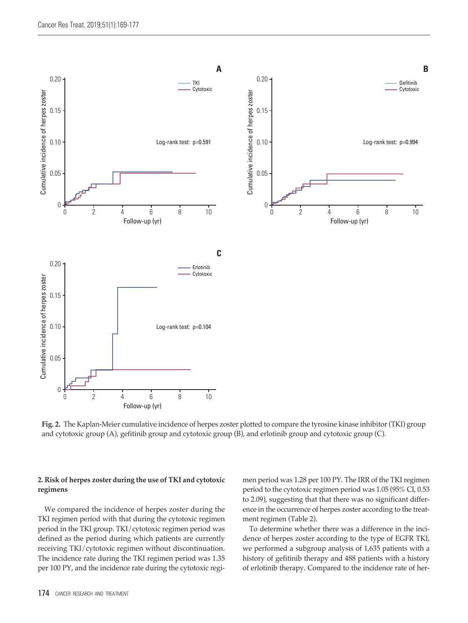

**Fig. 2.** The Kaplan-Meier cumulative incidence of herpes zoster plotted to compare the tyrosine kinase inhibitor (TKI) group and cytotoxic group (A), gefitinib group and cytotoxic group (B), and erlotinib group and cytotoxic group (C).

### **2. Risk of herpes zoster during the use of TKI and cytotoxic regimens**

We compared the incidence of herpes zoster during the TKI regimen period with that during the cytotoxic regimen period in the TKI group. TKI/cytotoxic regimen period was defined as the period during which patients are currently receiving TKI/cytotoxic regimen without discontinuation. The incidence rate during the TKI regimen period was 1.35 per 100 PY, and the incidence rate during the cytotoxic regimen period was 1.28 per 100 PY. The IRR of the TKI regimen period to the cytotoxic regimen period was 1.05 (95% CI, 0.53 to 2.09), suggesting that that there was no significant difference in the occurrence of herpes zoster according to the treatment regimen (Table 2).

To determine whether there was a difference in the incidence of herpes zoster according to the type of EGFR TKI, we performed a subgroup analysis of 1,635 patients with a history of gefitinib therapy and 488 patients with a history of erlotinib therapy. Compared to the incidence rate of her-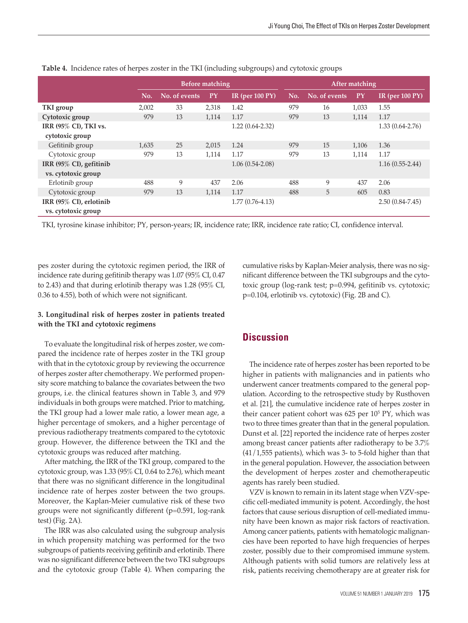|                         |       | Before matching |       |                            | After matching |               |       |                            |
|-------------------------|-------|-----------------|-------|----------------------------|----------------|---------------|-------|----------------------------|
|                         | No.   | No. of events   | PY    | IR (per $100 \text{ PY}$ ) | No.            | No. of events | PY    | IR (per $100 \text{ PY}$ ) |
| TKI group               | 2,002 | 33              | 2,318 | 1.42                       | 979            | 16            | 1,033 | 1.55                       |
| Cytotoxic group         | 979   | 13              | 1,114 | 1.17                       | 979            | 13            | 1,114 | 1.17                       |
| IRR (95% CI), TKI vs.   |       |                 |       | $1.22(0.64-2.32)$          |                |               |       | $1.33(0.64-2.76)$          |
| cytotoxic group         |       |                 |       |                            |                |               |       |                            |
| Gefitinib group         | 1,635 | 25              | 2,015 | 1.24                       | 979            | 15            | 1,106 | 1.36                       |
| Cytotoxic group         | 979   | 13              | 1,114 | 1.17                       | 979            | 13            | 1.114 | 1.17                       |
| IRR (95% CI), gefitinib |       |                 |       | $1.06(0.54-2.08)$          |                |               |       | $1.16(0.55-2.44)$          |
| vs. cytotoxic group     |       |                 |       |                            |                |               |       |                            |
| Erlotinib group         | 488   | 9               | 437   | 2.06                       | 488            | 9             | 437   | 2.06                       |
| Cytotoxic group         | 979   | 13              | 1,114 | 1.17                       | 488            | 5             | 605   | 0.83                       |
| IRR (95% CI), erlotinib |       |                 |       | $1.77(0.76-4.13)$          |                |               |       | $2.50(0.84 - 7.45)$        |
| vs. cytotoxic group     |       |                 |       |                            |                |               |       |                            |

**Table 4.** Incidence rates of herpes zoster in the TKI (including subgroups) and cytotoxic groups

TKI, tyrosine kinase inhibitor; PY, person-years; IR, incidence rate; IRR, incidence rate ratio; CI, confidence interval.

pes zoster during the cytotoxic regimen period, the IRR of incidence rate during gefitinib therapy was 1.07 (95% CI, 0.47 to 2.43) and that during erlotinib therapy was 1.28 (95% CI, 0.36 to 4.55), both of which were not significant.

# **3. Longitudinal risk of herpes zoster in patients treated with the TKI and cytotoxic regimens**

To evaluate the longitudinal risk of herpes zoster, we compared the incidence rate of herpes zoster in the TKI group with that in the cytotoxic group by reviewing the occurrence of herpes zoster after chemotherapy. We performed propensity score matching to balance the covariates between the two groups, i.e. the clinical features shown in Table 3, and 979 individuals in both groups were matched. Prior to matching, the TKI group had a lower male ratio, a lower mean age, a higher percentage of smokers, and a higher percentage of previous radiotherapy treatments compared to the cytotoxic group. However, the difference between the TKI and the cytotoxic groups was reduced after matching.

After matching, the IRR of the TKI group, compared to the cytotoxic group, was 1.33 (95% CI, 0.64 to 2.76), which meant that there was no significant difference in the longitudinal incidence rate of herpes zoster between the two groups. Moreover, the Kaplan-Meier cumulative risk of these two groups were not significantly different (p=0.591, log-rank test) (Fig. 2A).

The IRR was also calculated using the subgroup analysis in which propensity matching was performed for the two subgroups of patients receiving gefitinib and erlotinib. There was no significant difference between the two TKI subgroups and the cytotoxic group (Table 4). When comparing the cumulative risks by Kaplan-Meier analysis, there was no significant difference between the TKI subgroups and the cytotoxic group (log-rank test; p=0.994, gefitinib vs. cytotoxic; p=0.104, erlotinib vs. cytotoxic) (Fig. 2B and C).

# **Discussion**

The incidence rate of herpes zoster has been reported to be higher in patients with malignancies and in patients who underwent cancer treatments compared to the general population. According to the retrospective study by Rusthoven et al. [21], the cumulative incidence rate of herpes zoster in their cancer patient cohort was 625 per 105 PY, which was two to three times greater than that in the general population. Dunst et al. [22] reported the incidence rate of herpes zoster among breast cancer patients after radiotherapy to be 3.7% (41/1,555 patients), which was 3- to 5-fold higher than that in the general population. However, the association between the development of herpes zoster and chemotherapeutic agents has rarely been studied.

VZV is known to remain in its latent stage when VZV-specific cell-mediated immunity is potent. Accordingly, the host factors that cause serious disruption of cell-mediated immunity have been known as major risk factors of reactivation. Among cancer patients, patients with hematologic malignancies have been reported to have high frequencies of herpes zoster, possibly due to their compromised immune system. Although patients with solid tumors are relatively less at risk, patients receiving chemotherapy are at greater risk for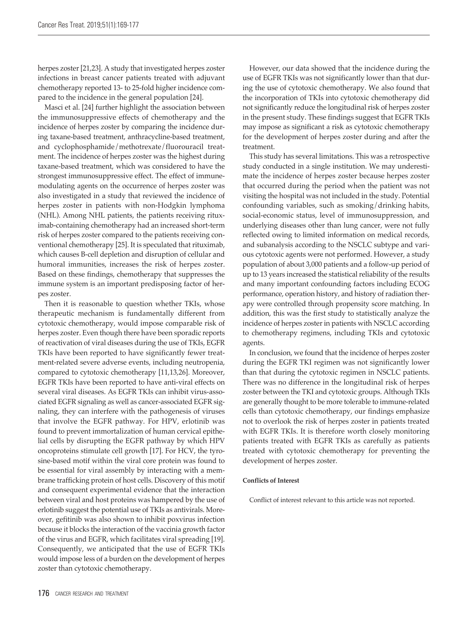herpes zoster [21,23]. A study that investigated herpes zoster infections in breast cancer patients treated with adjuvant chemotherapy reported 13- to 25-fold higher incidence compared to the incidence in the general population [24].

Masci et al. [24] further highlight the association between the immunosuppressive effects of chemotherapy and the incidence of herpes zoster by comparing the incidence during taxane-based treatment, anthracycline-based treatment, and cyclophosphamide/methotrexate/fluorouracil treatment. The incidence of herpes zoster was the highest during taxane-based treatment, which was considered to have the strongest immunosuppressive effect. The effect of immunemodulating agents on the occurrence of herpes zoster was also investigated in a study that reviewed the incidence of herpes zoster in patients with non-Hodgkin lymphoma (NHL). Among NHL patients, the patients receiving rituximab-containing chemotherapy had an increased short-term risk of herpes zoster compared to the patients receiving conventional chemotherapy [25]. It is speculated that rituximab, which causes B-cell depletion and disruption of cellular and humoral immunities, increases the risk of herpes zoster. Based on these findings, chemotherapy that suppresses the immune system is an important predisposing factor of herpes zoster.

Then it is reasonable to question whether TKIs, whose therapeutic mechanism is fundamentally different from cytotoxic chemotherapy, would impose comparable risk of herpes zoster. Even though there have been sporadic reports of reactivation of viral diseases during the use of TKIs, EGFR TKIs have been reported to have significantly fewer treatment-related severe adverse events, including neutropenia, compared to cytotoxic chemotherapy [11,13,26]. Moreover, EGFR TKIs have been reported to have anti-viral effects on several viral diseases. As EGFR TKIs can inhibit virus-associated EGFR signaling as well as cancer-associated EGFR signaling, they can interfere with the pathogenesis of viruses that involve the EGFR pathway. For HPV, erlotinib was found to prevent immortalization of human cervical epithelial cells by disrupting the EGFR pathway by which HPV oncoproteins stimulate cell growth [17]. For HCV, the tyrosine-based motif within the viral core protein was found to be essential for viral assembly by interacting with a membrane trafficking protein of host cells. Discovery of this motif and consequent experimental evidence that the interaction between viral and host proteins was hampered by the use of erlotinib suggest the potential use of TKIs as antivirals. Moreover, gefitinib was also shown to inhibit poxvirus infection because it blocks the interaction of the vaccinia growth factor of the virus and EGFR, which facilitates viral spreading [19]. Consequently, we anticipated that the use of EGFR TKIs would impose less of a burden on the development of herpes zoster than cytotoxic chemotherapy.

However, our data showed that the incidence during the use of EGFR TKIs was not significantly lower than that during the use of cytotoxic chemotherapy. We also found that the incorporation of TKIs into cytotoxic chemotherapy did not significantly reduce the longitudinal risk of herpes zoster in the present study. These findings suggest that EGFR TKIs may impose as significant a risk as cytotoxic chemotherapy for the development of herpes zoster during and after the treatment.

This study has several limitations. This was a retrospective study conducted in a single institution. We may underestimate the incidence of herpes zoster because herpes zoster that occurred during the period when the patient was not visiting the hospital was not included in the study. Potential confounding variables, such as smoking/drinking habits, social-economic status, level of immunosuppression, and underlying diseases other than lung cancer, were not fully reflected owing to limited information on medical records, and subanalysis according to the NSCLC subtype and various cytotoxic agents were not performed. However, a study population of about 3,000 patients and a follow-up period of up to 13 years increased the statistical reliability of the results and many important confounding factors including ECOG performance, operation history, and history of radiation therapy were controlled through propensity score matching. In addition, this was the first study to statistically analyze the incidence of herpes zoster in patients with NSCLC according to chemotherapy regimens, including TKIs and cytotoxic agents.

In conclusion, we found that the incidence of herpes zoster during the EGFR TKI regimen was not significantly lower than that during the cytotoxic regimen in NSCLC patients. There was no difference in the longitudinal risk of herpes zoster between the TKI and cytotoxic groups. Although TKIs are generally thought to be more tolerable to immune-related cells than cytotoxic chemotherapy, our findings emphasize not to overlook the risk of herpes zoster in patients treated with EGFR TKIs. It is therefore worth closely monitoring patients treated with EGFR TKIs as carefully as patients treated with cytotoxic chemotherapy for preventing the development of herpes zoster.

#### **Conflicts of Interest**

Conflict of interest relevant to this article was not reported.